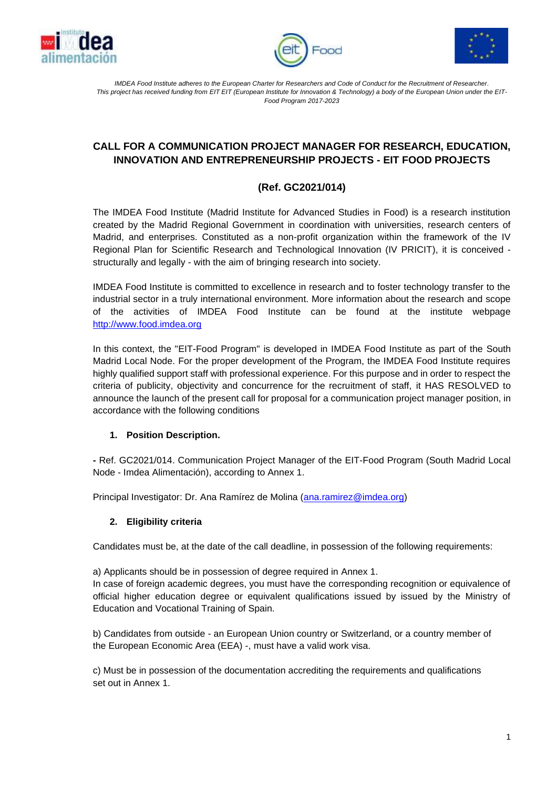





*IMDEA Food Institute adheres to the European Charter for Researchers and Code of Conduct for the Recruitment of Researcher. This project has received funding from EIT EIT (European Institute for Innovation & Technology) a body of the European Union under the EIT-Food Program 2017-2023*

# **CALL FOR A COMMUNICATION PROJECT MANAGER FOR RESEARCH, EDUCATION, INNOVATION AND ENTREPRENEURSHIP PROJECTS - EIT FOOD PROJECTS**

# **(Ref. GC2021/014)**

The IMDEA Food Institute (Madrid Institute for Advanced Studies in Food) is a research institution created by the Madrid Regional Government in coordination with universities, research centers of Madrid, and enterprises. Constituted as a non-profit organization within the framework of the IV Regional Plan for Scientific Research and Technological Innovation (IV PRICIT), it is conceived structurally and legally - with the aim of bringing research into society.

IMDEA Food Institute is committed to excellence in research and to foster technology transfer to the industrial sector in a truly international environment. More information about the research and scope of the activities of IMDEA Food Institute can be found at the institute webpage [http://www.food.imdea.org](http://www.food.imdea.org/)

In this context, the "EIT-Food Program" is developed in IMDEA Food Institute as part of the South Madrid Local Node. For the proper development of the Program, the IMDEA Food Institute requires highly qualified support staff with professional experience. For this purpose and in order to respect the criteria of publicity, objectivity and concurrence for the recruitment of staff, it HAS RESOLVED to announce the launch of the present call for proposal for a communication project manager position, in accordance with the following conditions

#### **1. Position Description.**

**-** Ref. GC2021/014. Communication Project Manager of the EIT-Food Program (South Madrid Local Node - Imdea Alimentación), according to Annex 1.

Principal Investigator: Dr. Ana Ramírez de Molina [\(ana.ramirez@imdea.org\)](mailto:ana.ramirez@imdea.org)

#### **2. Eligibility criteria**

Candidates must be, at the date of the call deadline, in possession of the following requirements:

a) Applicants should be in possession of degree required in Annex 1.

In case of foreign academic degrees, you must have the corresponding recognition or equivalence of official higher education degree or equivalent qualifications issued by issued by the Ministry of Education and Vocational Training of Spain.

b) Candidates from outside - an European Union country or Switzerland, or a country member of the European Economic Area (EEA) -, must have a valid work visa.

c) Must be in possession of the documentation accrediting the requirements and qualifications set out in Annex 1.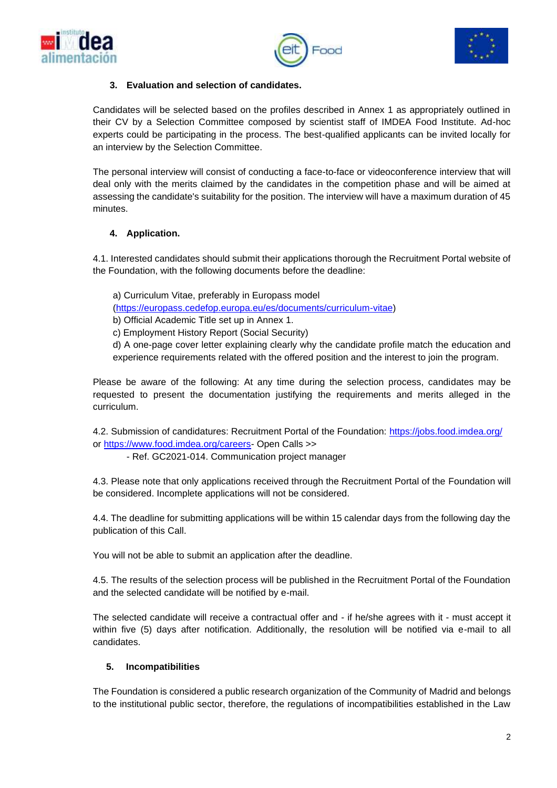





### **3. Evaluation and selection of candidates.**

Candidates will be selected based on the profiles described in Annex 1 as appropriately outlined in their CV by a Selection Committee composed by scientist staff of IMDEA Food Institute. Ad-hoc experts could be participating in the process. The best-qualified applicants can be invited locally for an interview by the Selection Committee.

The personal interview will consist of conducting a face-to-face or videoconference interview that will deal only with the merits claimed by the candidates in the competition phase and will be aimed at assessing the candidate's suitability for the position. The interview will have a maximum duration of 45 minutes.

### **4. Application.**

4.1. Interested candidates should submit their applications thorough the Recruitment Portal website of the Foundation, with the following documents before the deadline:

a) Curriculum Vitae, preferably in Europass model

[\(https://europass.cedefop.europa.eu/es/documents/curriculum-vitae\)](https://europass.cedefop.europa.eu/es/documents/curriculum-vitae)

b) Official Academic Title set up in Annex 1.

c) Employment History Report (Social Security)

d) A one-page cover letter explaining clearly why the candidate profile match the education and experience requirements related with the offered position and the interest to join the program.

Please be aware of the following: At any time during the selection process, candidates may be requested to present the documentation justifying the requirements and merits alleged in the curriculum.

4.2. Submission of candidatures: Recruitment Portal of the Foundation:<https://jobs.food.imdea.org/> or [https://www.food.imdea.org/careers-](https://www.food.imdea.org/careers) Open Calls >>

- Ref. GC2021-014. Communication project manager

4.3. Please note that only applications received through the Recruitment Portal of the Foundation will be considered. Incomplete applications will not be considered.

4.4. The deadline for submitting applications will be within 15 calendar days from the following day the publication of this Call.

You will not be able to submit an application after the deadline.

4.5. The results of the selection process will be published in the Recruitment Portal of the Foundation and the selected candidate will be notified by e-mail.

The selected candidate will receive a contractual offer and - if he/she agrees with it - must accept it within five (5) days after notification. Additionally, the resolution will be notified via e-mail to all candidates.

# **5. Incompatibilities**

The Foundation is considered a public research organization of the Community of Madrid and belongs to the institutional public sector, therefore, the regulations of incompatibilities established in the Law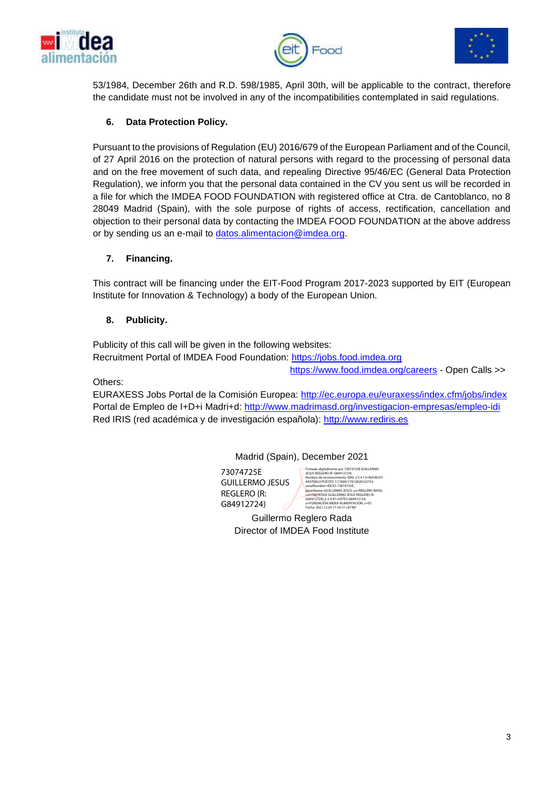





53/1984, December 26th and R.D. 598/1985, April 30th, will be applicable to the contract, therefore the candidate must not be involved in any of the incompatibilities contemplated in said regulations.

# **6. Data Protection Policy.**

Pursuant to the provisions of Regulation (EU) 2016/679 of the European Parliament and of the Council, of 27 April 2016 on the protection of natural persons with regard to the processing of personal data and on the free movement of such data, and repealing Directive 95/46/EC (General Data Protection Regulation), we inform you that the personal data contained in the CV you sent us will be recorded in a file for which the IMDEA FOOD FOUNDATION with registered office at Ctra. de Cantoblanco, no 8 28049 Madrid (Spain), with the sole purpose of rights of access, rectification, cancellation and objection to their personal data by contacting the IMDEA FOOD FOUNDATION at the above address or by sending us an e-mail to [datos.alimentacion@imdea.org.](mailto:datos.alimentacion@imdea.org)

### **7. Financing.**

This contract will be financing under the EIT-Food Program 2017-2023 supported by EIT (European Institute for Innovation & Technology) a body of the European Union.

### **8. Publicity.**

Publicity of this call will be given in the following websites: Recruitment Portal of IMDEA Food Foundation: [https://jobs.food.imdea.org](https://jobs.food.imdea.org/)

<https://www.food.imdea.org/careers> - Open Calls >>

Others:

EURAXESS Jobs Portal de la Comisión Europea:<http://ec.europa.eu/euraxess/index.cfm/jobs/index> Portal de Empleo de I+D+i Madri+d:<http://www.madrimasd.org/investigacion-empresas/empleo-idi> Red IRIS (red académica y de investigación española): [http://www.rediris.es](http://www.rediris.es/)

#### Madrid (Spain), December 2021

73074725E GUILLERMO JESUS REGLERO (R: G84912724)

Firmado digitalmente por 73074725E GUILLERMO<br>JKSUS REGLERO (R. G84912724)<br>AENTO022/PUESTO 1/17689/17012020122753,<br>AENTO022/PUESTO 1/17689/17012020122753,<br>spienName=GUILLERMO JESUS, sn=REGLERO RADA,<br>GivenName=GUILLERMO JESU

Guillermo Reglero Rada Director of IMDEA Food Institute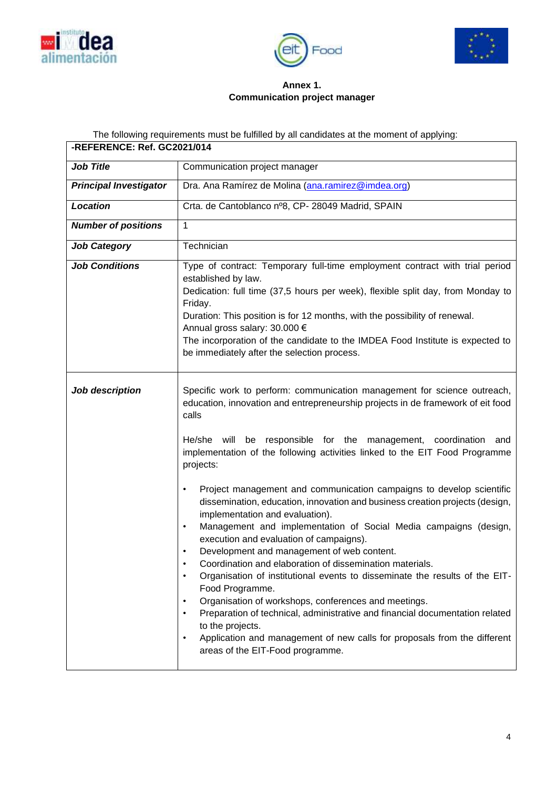





## **Annex 1. Communication project manager**

The following requirements must be fulfilled by all candidates at the moment of applying:

| -REFERENCE: Ref. GC2021/014   |                                                                                                                                                                                                                                                                                                                                                                                                                                                                                                                                                                                                                                                                                                                                                                                                                                                                                                                                                                                                                                                                                                                                                                              |
|-------------------------------|------------------------------------------------------------------------------------------------------------------------------------------------------------------------------------------------------------------------------------------------------------------------------------------------------------------------------------------------------------------------------------------------------------------------------------------------------------------------------------------------------------------------------------------------------------------------------------------------------------------------------------------------------------------------------------------------------------------------------------------------------------------------------------------------------------------------------------------------------------------------------------------------------------------------------------------------------------------------------------------------------------------------------------------------------------------------------------------------------------------------------------------------------------------------------|
| <b>Job Title</b>              | Communication project manager                                                                                                                                                                                                                                                                                                                                                                                                                                                                                                                                                                                                                                                                                                                                                                                                                                                                                                                                                                                                                                                                                                                                                |
| <b>Principal Investigator</b> | Dra. Ana Ramírez de Molina (ana.ramirez@imdea.org)                                                                                                                                                                                                                                                                                                                                                                                                                                                                                                                                                                                                                                                                                                                                                                                                                                                                                                                                                                                                                                                                                                                           |
| <b>Location</b>               | Crta. de Cantoblanco nº8, CP- 28049 Madrid, SPAIN                                                                                                                                                                                                                                                                                                                                                                                                                                                                                                                                                                                                                                                                                                                                                                                                                                                                                                                                                                                                                                                                                                                            |
| <b>Number of positions</b>    | $\mathbf{1}$                                                                                                                                                                                                                                                                                                                                                                                                                                                                                                                                                                                                                                                                                                                                                                                                                                                                                                                                                                                                                                                                                                                                                                 |
| <b>Job Category</b>           | Technician                                                                                                                                                                                                                                                                                                                                                                                                                                                                                                                                                                                                                                                                                                                                                                                                                                                                                                                                                                                                                                                                                                                                                                   |
| <b>Job Conditions</b>         | Type of contract: Temporary full-time employment contract with trial period<br>established by law.<br>Dedication: full time (37,5 hours per week), flexible split day, from Monday to<br>Friday.<br>Duration: This position is for 12 months, with the possibility of renewal.<br>Annual gross salary: 30.000 €<br>The incorporation of the candidate to the IMDEA Food Institute is expected to<br>be immediately after the selection process.                                                                                                                                                                                                                                                                                                                                                                                                                                                                                                                                                                                                                                                                                                                              |
| Job description               | Specific work to perform: communication management for science outreach,<br>education, innovation and entrepreneurship projects in de framework of eit food<br>calls<br>He/she will be responsible for the management, coordination and<br>implementation of the following activities linked to the EIT Food Programme<br>projects:<br>Project management and communication campaigns to develop scientific<br>$\bullet$<br>dissemination, education, innovation and business creation projects (design,<br>implementation and evaluation).<br>Management and implementation of Social Media campaigns (design,<br>$\bullet$<br>execution and evaluation of campaigns).<br>Development and management of web content.<br>Coordination and elaboration of dissemination materials.<br>Organisation of institutional events to disseminate the results of the EIT-<br>Food Programme.<br>Organisation of workshops, conferences and meetings.<br>$\bullet$<br>Preparation of technical, administrative and financial documentation related<br>to the projects.<br>Application and management of new calls for proposals from the different<br>areas of the EIT-Food programme. |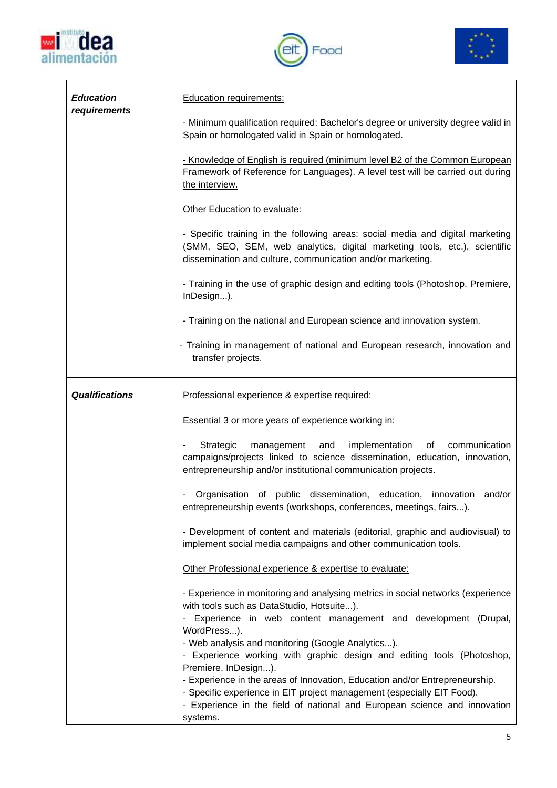





 $\overline{\mathsf{I}}$ 

| <b>Education</b><br>requirements | <b>Education requirements:</b>                                                                                                                                                                                                                 |
|----------------------------------|------------------------------------------------------------------------------------------------------------------------------------------------------------------------------------------------------------------------------------------------|
|                                  | - Minimum qualification required: Bachelor's degree or university degree valid in<br>Spain or homologated valid in Spain or homologated.                                                                                                       |
|                                  | - Knowledge of English is required (minimum level B2 of the Common European<br>Framework of Reference for Languages). A level test will be carried out during<br>the interview.                                                                |
|                                  | Other Education to evaluate:                                                                                                                                                                                                                   |
|                                  | - Specific training in the following areas: social media and digital marketing<br>(SMM, SEO, SEM, web analytics, digital marketing tools, etc.), scientific<br>dissemination and culture, communication and/or marketing.                      |
|                                  | - Training in the use of graphic design and editing tools (Photoshop, Premiere,<br>InDesign).                                                                                                                                                  |
|                                  | - Training on the national and European science and innovation system.                                                                                                                                                                         |
|                                  | - Training in management of national and European research, innovation and<br>transfer projects.                                                                                                                                               |
| <b>Qualifications</b>            | Professional experience & expertise required:                                                                                                                                                                                                  |
|                                  | Essential 3 or more years of experience working in:                                                                                                                                                                                            |
|                                  | Strategic<br>implementation<br>and<br>of<br>communication<br>management<br>campaigns/projects linked to science dissemination, education, innovation,<br>entrepreneurship and/or institutional communication projects.                         |
|                                  | Organisation of public dissemination, education, innovation and/or<br>entrepreneurship events (workshops, conferences, meetings, fairs).                                                                                                       |
|                                  | - Development of content and materials (editorial, graphic and audiovisual) to<br>implement social media campaigns and other communication tools.                                                                                              |
|                                  | Other Professional experience & expertise to evaluate:                                                                                                                                                                                         |
|                                  | - Experience in monitoring and analysing metrics in social networks (experience<br>with tools such as DataStudio, Hotsuite).                                                                                                                   |
|                                  | - Experience in web content management and development (Drupal,<br>WordPress).<br>- Web analysis and monitoring (Google Analytics).<br>- Experience working with graphic design and editing tools (Photoshop,<br>Premiere, InDesign).          |
|                                  | - Experience in the areas of Innovation, Education and/or Entrepreneurship.<br>- Specific experience in EIT project management (especially EIT Food).<br>- Experience in the field of national and European science and innovation<br>systems. |